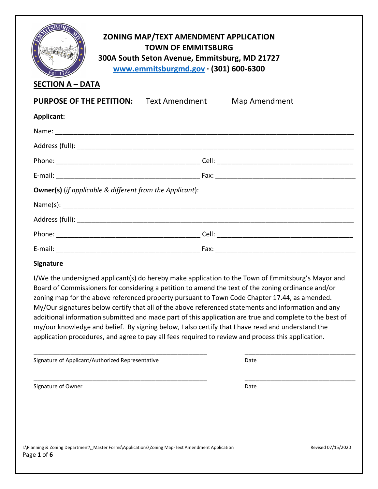| ZONING MAP/TEXT AMENDMENT APPLICATION<br><b>TOWN OF EMMITSBURG</b><br>300A South Seton Avenue, Emmitsburg, MD 21727<br>www.emmitsburgmd.gov · (301) 600-6300<br><b>SECTION A - DATA</b> |  |                      |
|-----------------------------------------------------------------------------------------------------------------------------------------------------------------------------------------|--|----------------------|
| <b>PURPOSE OF THE PETITION:</b> Text Amendment                                                                                                                                          |  | <b>Map Amendment</b> |
| Applicant:                                                                                                                                                                              |  |                      |
|                                                                                                                                                                                         |  |                      |
|                                                                                                                                                                                         |  |                      |
|                                                                                                                                                                                         |  |                      |
|                                                                                                                                                                                         |  |                      |
| <b>Owner(s)</b> (if applicable & different from the Applicant):                                                                                                                         |  |                      |
| Name(s):                                                                                                                                                                                |  |                      |
|                                                                                                                                                                                         |  |                      |
|                                                                                                                                                                                         |  |                      |
|                                                                                                                                                                                         |  |                      |

## **Signature**

I/We the undersigned applicant(s) do hereby make application to the Town of Emmitsburg's Mayor and Board of Commissioners for considering a petition to amend the text of the zoning ordinance and/or zoning map for the above referenced property pursuant to Town Code Chapter 17.44, as amended. My/Our signatures below certify that all of the above referenced statements and information and any additional information submitted and made part of this application are true and complete to the best of my/our knowledge and belief. By signing below, I also certify that I have read and understand the application procedures, and agree to pay all fees required to review and process this application.

\_\_\_\_\_\_\_\_\_\_\_\_\_\_\_\_\_\_\_\_\_\_\_\_\_\_\_\_\_\_\_\_\_\_\_\_\_\_\_\_\_\_\_\_\_\_\_ \_\_\_\_\_\_\_\_\_\_\_\_\_\_\_\_\_\_\_\_\_\_\_\_\_\_\_\_\_\_

\_\_\_\_\_\_\_\_\_\_\_\_\_\_\_\_\_\_\_\_\_\_\_\_\_\_\_\_\_\_\_\_\_\_\_\_\_\_\_\_\_\_\_\_\_\_\_ \_\_\_\_\_\_\_\_\_\_\_\_\_\_\_\_\_\_\_\_\_\_\_\_\_\_\_\_\_\_

| Signature of Applicant/Authorized Representative | Date |
|--------------------------------------------------|------|

Signature of Owner Date Communications and the Date Date Date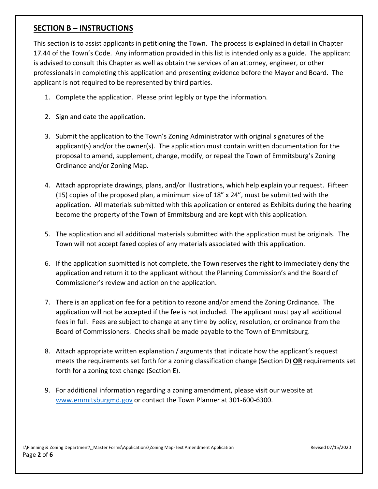## **SECTION B – INSTRUCTIONS**

This section is to assist applicants in petitioning the Town. The process is explained in detail in Chapter 17.44 of the Town's Code. Any information provided in this list is intended only as a guide. The applicant is advised to consult this Chapter as well as obtain the services of an attorney, engineer, or other professionals in completing this application and presenting evidence before the Mayor and Board. The applicant is not required to be represented by third parties.

- 1. Complete the application. Please print legibly or type the information.
- 2. Sign and date the application.
- 3. Submit the application to the Town's Zoning Administrator with original signatures of the applicant(s) and/or the owner(s). The application must contain written documentation for the proposal to amend, supplement, change, modify, or repeal the Town of Emmitsburg's Zoning Ordinance and/or Zoning Map.
- 4. Attach appropriate drawings, plans, and/or illustrations, which help explain your request. Fifteen (15) copies of the proposed plan, a minimum size of  $18''$  x  $24''$ , must be submitted with the application. All materials submitted with this application or entered as Exhibits during the hearing become the property of the Town of Emmitsburg and are kept with this application.
- 5. The application and all additional materials submitted with the application must be originals. The Town will not accept faxed copies of any materials associated with this application.
- 6. If the application submitted is not complete, the Town reserves the right to immediately deny the application and return it to the applicant without the Planning Commission's and the Board of Commissioner's review and action on the application.
- 7. There is an application fee for a petition to rezone and/or amend the Zoning Ordinance. The application will not be accepted if the fee is not included.The applicant must pay all additional fees in full. Fees are subject to change at any time by policy, resolution, or ordinance from the Board of Commissioners. Checks shall be made payable to the Town of Emmitsburg.
- 8. Attach appropriate written explanation / arguments that indicate how the applicant's request meets the requirements set forth for a zoning classification change (Section D) **OR** requirements set forth for a zoning text change (Section E).
- 9. For additional information regarding a zoning amendment, please visit our website at www.emmitsburgmd.gov or contact the Town Planner at 301-600-6300.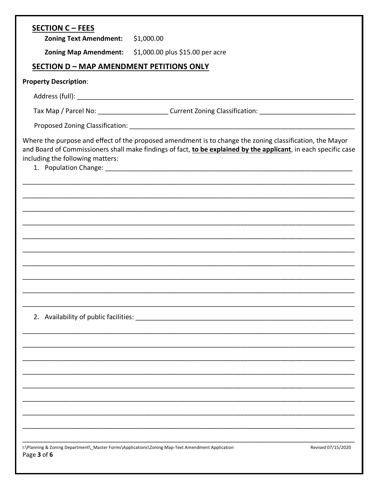| <b>SECTION C - FEES</b>                                                                                         |                                                                                                                                                                                                                             |                    |
|-----------------------------------------------------------------------------------------------------------------|-----------------------------------------------------------------------------------------------------------------------------------------------------------------------------------------------------------------------------|--------------------|
| Zoning Text Amendment: \$1,000.00                                                                               |                                                                                                                                                                                                                             |                    |
|                                                                                                                 | Zoning Map Amendment: \$1,000.00 plus \$15.00 per acre                                                                                                                                                                      |                    |
| <b>SECTION D - MAP AMENDMENT PETITIONS ONLY</b>                                                                 |                                                                                                                                                                                                                             |                    |
| <b>Property Description:</b>                                                                                    |                                                                                                                                                                                                                             |                    |
|                                                                                                                 |                                                                                                                                                                                                                             |                    |
|                                                                                                                 | Tax Map / Parcel No: __________________________Current Zoning Classification: ________________________________                                                                                                              |                    |
|                                                                                                                 |                                                                                                                                                                                                                             |                    |
| including the following matters:                                                                                | Where the purpose and effect of the proposed amendment is to change the zoning classification, the Mayor<br>and Board of Commissioners shall make findings of fact, to be explained by the applicant, in each specific case |                    |
|                                                                                                                 |                                                                                                                                                                                                                             |                    |
|                                                                                                                 |                                                                                                                                                                                                                             |                    |
|                                                                                                                 |                                                                                                                                                                                                                             |                    |
|                                                                                                                 |                                                                                                                                                                                                                             |                    |
|                                                                                                                 |                                                                                                                                                                                                                             |                    |
|                                                                                                                 |                                                                                                                                                                                                                             |                    |
|                                                                                                                 |                                                                                                                                                                                                                             |                    |
|                                                                                                                 |                                                                                                                                                                                                                             |                    |
|                                                                                                                 |                                                                                                                                                                                                                             |                    |
| 2. Availability of public facilities:                                                                           |                                                                                                                                                                                                                             |                    |
|                                                                                                                 |                                                                                                                                                                                                                             |                    |
|                                                                                                                 |                                                                                                                                                                                                                             |                    |
|                                                                                                                 |                                                                                                                                                                                                                             |                    |
|                                                                                                                 |                                                                                                                                                                                                                             |                    |
|                                                                                                                 |                                                                                                                                                                                                                             |                    |
|                                                                                                                 |                                                                                                                                                                                                                             |                    |
|                                                                                                                 |                                                                                                                                                                                                                             |                    |
|                                                                                                                 |                                                                                                                                                                                                                             |                    |
| I:\Planning & Zoning Department\_Master Forms\Applications\Zoning Map-Text Amendment Application<br>Page 3 of 6 |                                                                                                                                                                                                                             | Revised 07/15/2020 |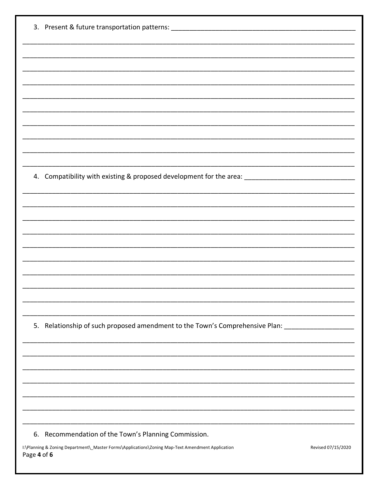| 3. Present & future transportation patterns: ___________________________________                     |                    |
|------------------------------------------------------------------------------------------------------|--------------------|
|                                                                                                      |                    |
|                                                                                                      |                    |
|                                                                                                      |                    |
|                                                                                                      |                    |
|                                                                                                      |                    |
|                                                                                                      |                    |
|                                                                                                      |                    |
|                                                                                                      |                    |
|                                                                                                      |                    |
| 4. Compatibility with existing & proposed development for the area: ________________________________ |                    |
|                                                                                                      |                    |
|                                                                                                      |                    |
|                                                                                                      |                    |
|                                                                                                      |                    |
|                                                                                                      |                    |
|                                                                                                      |                    |
|                                                                                                      |                    |
|                                                                                                      |                    |
|                                                                                                      |                    |
|                                                                                                      |                    |
| 5. Relationship of such proposed amendment to the Town's Comprehensive Plan:                         |                    |
|                                                                                                      |                    |
|                                                                                                      |                    |
|                                                                                                      |                    |
|                                                                                                      |                    |
|                                                                                                      |                    |
|                                                                                                      |                    |
| 6. Recommendation of the Town's Planning Commission.                                                 |                    |
| I:\Planning & Zoning Department\_Master Forms\Applications\Zoning Map-Text Amendment Application     | Revised 07/15/2020 |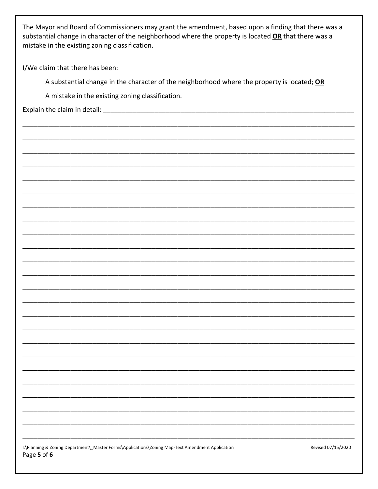The Mayor and Board of Commissioners may grant the amendment, based upon a finding that there was a substantial change in character of the neighborhood where the property is located OR that there was a mistake in the existing zoning classification.

I/We claim that there has been:

A substantial change in the character of the neighborhood where the property is located; OR

A mistake in the existing zoning classification.

Explain the claim in detail: [11]

| I:\Planning & Zoning Department\ Master Forms\Applications\Zoning Map-Text Amendment Application |
|--------------------------------------------------------------------------------------------------|
| Page 5 of 6                                                                                      |

Revised 07/15/2020